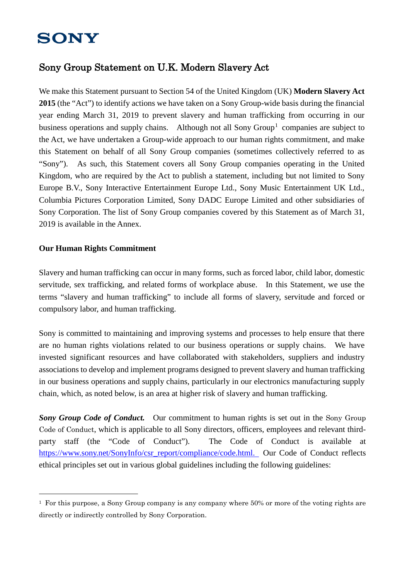# **SONY**

## Sony Group Statement on U.K. Modern Slavery Act

We make this Statement pursuant to Section 54 of the United Kingdom (UK) **Modern Slavery Act 2015** (the "Act") to identify actions we have taken on a Sony Group-wide basis during the financial year ending March 31, 2019 to prevent slavery and human trafficking from occurring in our business operations and supply chains. Although not all Sony  $Group<sup>1</sup>$  $Group<sup>1</sup>$  $Group<sup>1</sup>$  companies are subject to the Act, we have undertaken a Group-wide approach to our human rights commitment, and make this Statement on behalf of all Sony Group companies (sometimes collectively referred to as "Sony"). As such, this Statement covers all Sony Group companies operating in the United Kingdom, who are required by the Act to publish a statement, including but not limited to Sony Europe B.V., Sony Interactive Entertainment Europe Ltd., Sony Music Entertainment UK Ltd., Columbia Pictures Corporation Limited, Sony DADC Europe Limited and other subsidiaries of Sony Corporation. The list of Sony Group companies covered by this Statement as of March 31, 2019 is available in the Annex.

## **Our Human Rights Commitment**

Slavery and human trafficking can occur in many forms, such as forced labor, child labor, domestic servitude, sex trafficking, and related forms of workplace abuse. In this Statement, we use the terms "slavery and human trafficking" to include all forms of slavery, servitude and forced or compulsory labor, and human trafficking.

Sony is committed to maintaining and improving systems and processes to help ensure that there are no human rights violations related to our business operations or supply chains. We have invested significant resources and have collaborated with stakeholders, suppliers and industry associations to develop and implement programs designed to prevent slavery and human trafficking in our business operations and supply chains, particularly in our electronics manufacturing supply chain, which, as noted below, is an area at higher risk of slavery and human trafficking.

**Sony Group Code of Conduct.** Our commitment to human rights is set out in the Sony Group Code of Conduct, which is applicable to all Sony directors, officers, employees and relevant thirdparty staff (the "Code of Conduct"). The Code of Conduct is available at [https://www.sony.net/SonyInfo/csr\\_report/compliance/code.html.](https://www.sony.net/SonyInfo/csr_report/compliance/code.html) Our Code of Conduct reflects ethical principles set out in various global guidelines including the following guidelines:

<span id="page-0-0"></span> $1$  For this purpose, a Sony Group company is any company where 50% or more of the voting rights are directly or indirectly controlled by Sony Corporation.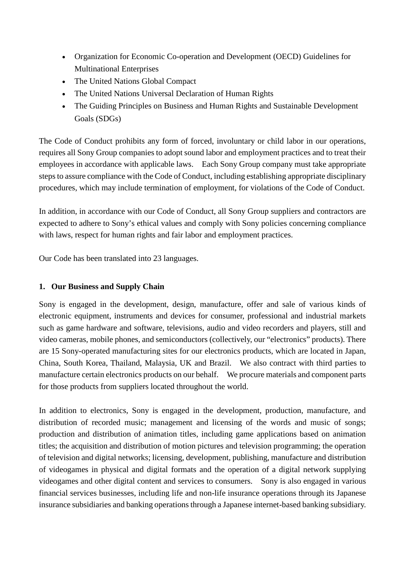- Organization for Economic Co-operation and Development (OECD) Guidelines for Multinational Enterprises
- The United Nations Global Compact
- The United Nations Universal Declaration of Human Rights
- The Guiding Principles on Business and Human Rights and Sustainable Development Goals (SDGs)

The Code of Conduct prohibits any form of forced, involuntary or child labor in our operations, requires all Sony Group companies to adopt sound labor and employment practices and to treat their employees in accordance with applicable laws. Each Sony Group company must take appropriate steps to assure compliance with the Code of Conduct, including establishing appropriate disciplinary procedures, which may include termination of employment, for violations of the Code of Conduct.

In addition, in accordance with our Code of Conduct, all Sony Group suppliers and contractors are expected to adhere to Sony's ethical values and comply with Sony policies concerning compliance with laws, respect for human rights and fair labor and employment practices.

Our Code has been translated into 23 languages.

## **1. Our Business and Supply Chain**

Sony is engaged in the development, design, manufacture, offer and sale of various kinds of electronic equipment, instruments and devices for consumer, professional and industrial markets such as game hardware and software, televisions, audio and video recorders and players, still and video cameras, mobile phones, and semiconductors (collectively, our "electronics" products). There are 15 Sony-operated manufacturing sites for our electronics products, which are located in Japan, China, South Korea, Thailand, Malaysia, UK and Brazil. We also contract with third parties to manufacture certain electronics products on our behalf. We procure materials and component parts for those products from suppliers located throughout the world.

In addition to electronics, Sony is engaged in the development, production, manufacture, and distribution of recorded music; management and licensing of the words and music of songs; production and distribution of animation titles, including game applications based on animation titles; the acquisition and distribution of motion pictures and television programming; the operation of television and digital networks; licensing, development, publishing, manufacture and distribution of videogames in physical and digital formats and the operation of a digital network supplying videogames and other digital content and services to consumers. Sony is also engaged in various financial services businesses, including life and non-life insurance operations through its Japanese insurance subsidiaries and banking operations through a Japanese internet-based banking subsidiary.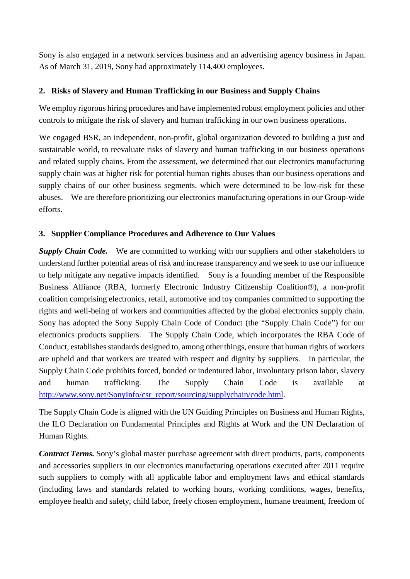Sony is also engaged in a network services business and an advertising agency business in Japan. As of March 31, 2019, Sony had approximately 114,400 employees.

## **2. Risks of Slavery and Human Trafficking in our Business and Supply Chains**

We employ rigorous hiring procedures and have implemented robust employment policies and other controls to mitigate the risk of slavery and human trafficking in our own business operations.

We engaged BSR, an independent, non-profit, global organization devoted to building a just and sustainable world, to reevaluate risks of slavery and human trafficking in our business operations and related supply chains. From the assessment, we determined that our electronics manufacturing supply chain was at higher risk for potential human rights abuses than our business operations and supply chains of our other business segments, which were determined to be low-risk for these abuses. We are therefore prioritizing our electronics manufacturing operations in our Group-wide efforts.

## **3. Supplier Compliance Procedures and Adherence to Our Values**

*Supply Chain Code.* We are committed to working with our suppliers and other stakeholders to understand further potential areas of risk and increase transparency and we seek to use our influence to help mitigate any negative impacts identified. Sony is a founding member of the Responsible Business Alliance (RBA, formerly Electronic Industry Citizenship Coalition®), a non-profit coalition comprising electronics, retail, automotive and toy companies committed to supporting the rights and well-being of workers and communities affected by the global electronics supply chain. Sony has adopted the Sony Supply Chain Code of Conduct (the "Supply Chain Code") for our electronics products suppliers. The Supply Chain Code, which incorporates the RBA Code of Conduct, establishes standards designed to, among other things, ensure that human rights of workers are upheld and that workers are treated with respect and dignity by suppliers. In particular, the Supply Chain Code prohibits forced, bonded or indentured labor, involuntary prison labor, slavery and human trafficking. The Supply Chain Code is available at [http://www.sony.net/SonyInfo/csr\\_report/sourcing/supplychain/code.html](http://www.sony.net/SonyInfo/csr_report/sourcing/supplychain/code.html).

The Supply Chain Code is aligned with the UN Guiding Principles on Business and Human Rights, the ILO Declaration on Fundamental Principles and Rights at Work and the UN Declaration of Human Rights.

*Contract Terms.* Sony's global master purchase agreement with direct products, parts, components and accessories suppliers in our electronics manufacturing operations executed after 2011 require such suppliers to comply with all applicable labor and employment laws and ethical standards (including laws and standards related to working hours, working conditions, wages, benefits, employee health and safety, child labor, freely chosen employment, humane treatment, freedom of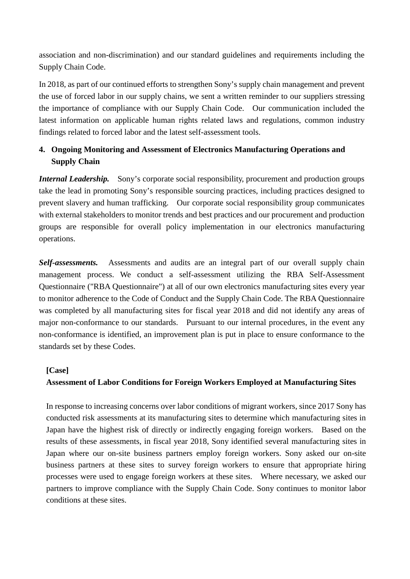association and non-discrimination) and our standard guidelines and requirements including the Supply Chain Code.

In 2018, as part of our continued efforts to strengthen Sony's supply chain management and prevent the use of forced labor in our supply chains, we sent a written reminder to our suppliers stressing the importance of compliance with our Supply Chain Code. Our communication included the latest information on applicable human rights related laws and regulations, common industry findings related to forced labor and the latest self-assessment tools.

## **4. Ongoing Monitoring and Assessment of Electronics Manufacturing Operations and Supply Chain**

*Internal Leadership.* Sony's corporate social responsibility, procurement and production groups take the lead in promoting Sony's responsible sourcing practices, including practices designed to prevent slavery and human trafficking. Our corporate social responsibility group communicates with external stakeholders to monitor trends and best practices and our procurement and production groups are responsible for overall policy implementation in our electronics manufacturing operations.

*Self-assessments.* Assessments and audits are an integral part of our overall supply chain management process. We conduct a self-assessment utilizing the RBA Self-Assessment Questionnaire ("RBA Questionnaire") at all of our own electronics manufacturing sites every year to monitor adherence to the Code of Conduct and the Supply Chain Code. The RBA Questionnaire was completed by all manufacturing sites for fiscal year 2018 and did not identify any areas of major non-conformance to our standards. Pursuant to our internal procedures, in the event any non-conformance is identified, an improvement plan is put in place to ensure conformance to the standards set by these Codes.

## **[Case]**

## **Assessment of Labor Conditions for Foreign Workers Employed at Manufacturing Sites**

In response to increasing concerns over labor conditions of migrant workers, since 2017 Sony has conducted risk assessments at its manufacturing sites to determine which manufacturing sites in Japan have the highest risk of directly or indirectly engaging foreign workers. Based on the results of these assessments, in fiscal year 2018, Sony identified several manufacturing sites in Japan where our on-site business partners employ foreign workers. Sony asked our on-site business partners at these sites to survey foreign workers to ensure that appropriate hiring processes were used to engage foreign workers at these sites. Where necessary, we asked our partners to improve compliance with the Supply Chain Code. Sony continues to monitor labor conditions at these sites.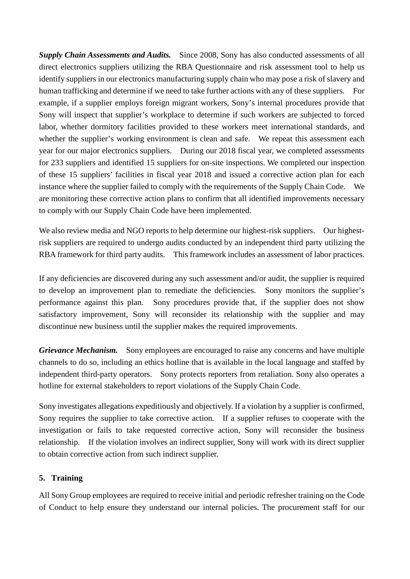*Supply Chain Assessments and Audits.* Since 2008, Sony has also conducted assessments of all direct electronics suppliers utilizing the RBA Questionnaire and risk assessment tool to help us identify suppliers in our electronics manufacturing supply chain who may pose a risk of slavery and human trafficking and determine if we need to take further actions with any of these suppliers. For example, if a supplier employs foreign migrant workers, Sony's internal procedures provide that Sony will inspect that supplier's workplace to determine if such workers are subjected to forced labor, whether dormitory facilities provided to these workers meet international standards, and whether the supplier's working environment is clean and safe. We repeat this assessment each year for our major electronics suppliers. During our 2018 fiscal year, we completed assessments for 233 suppliers and identified 15 suppliers for on-site inspections. We completed our inspection of these 15 suppliers' facilities in fiscal year 2018 and issued a corrective action plan for each instance where the supplier failed to comply with the requirements of the Supply Chain Code. We are monitoring these corrective action plans to confirm that all identified improvements necessary to comply with our Supply Chain Code have been implemented.

We also review media and NGO reports to help determine our highest-risk suppliers. Our highestrisk suppliers are required to undergo audits conducted by an independent third party utilizing the RBA framework for third party audits. This framework includes an assessment of labor practices.

If any deficiencies are discovered during any such assessment and/or audit, the supplier is required to develop an improvement plan to remediate the deficiencies. Sony monitors the supplier's performance against this plan. Sony procedures provide that, if the supplier does not show satisfactory improvement, Sony will reconsider its relationship with the supplier and may discontinue new business until the supplier makes the required improvements.

*Grievance Mechanism.* Sony employees are encouraged to raise any concerns and have multiple channels to do so, including an ethics hotline that is available in the local language and staffed by independent third-party operators. Sony protects reporters from retaliation. Sony also operates a hotline for external stakeholders to report violations of the Supply Chain Code.

Sony investigates allegations expeditiously and objectively. If a violation by a supplier is confirmed, Sony requires the supplier to take corrective action. If a supplier refuses to cooperate with the investigation or fails to take requested corrective action, Sony will reconsider the business relationship. If the violation involves an indirect supplier, Sony will work with its direct supplier to obtain corrective action from such indirect supplier.

## **5. Training**

All Sony Group employees are required to receive initial and periodic refresher training on the Code of Conduct to help ensure they understand our internal policies. The procurement staff for our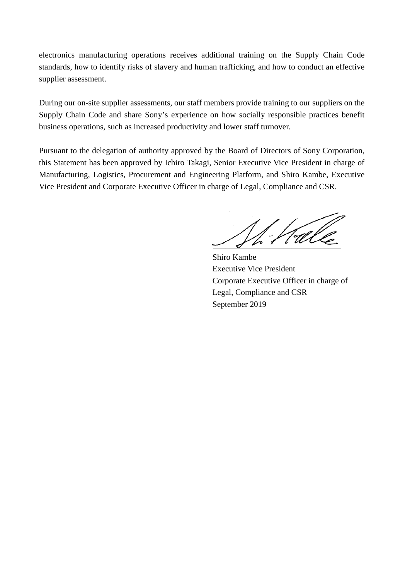electronics manufacturing operations receives additional training on the Supply Chain Code standards, how to identify risks of slavery and human trafficking, and how to conduct an effective supplier assessment.

During our on-site supplier assessments, our staff members provide training to our suppliers on the Supply Chain Code and share Sony's experience on how socially responsible practices benefit business operations, such as increased productivity and lower staff turnover.

Pursuant to the delegation of authority approved by the Board of Directors of Sony Corporation, this Statement has been approved by Ichiro Takagi, Senior Executive Vice President in charge of Manufacturing, Logistics, Procurement and Engineering Platform, and Shiro Kambe, Executive Vice President and Corporate Executive Officer in charge of Legal, Compliance and CSR.

 $\frac{1}{2}$  . Halle

Shiro Kambe Executive Vice President Corporate Executive Officer in charge of Legal, Compliance and CSR September 2019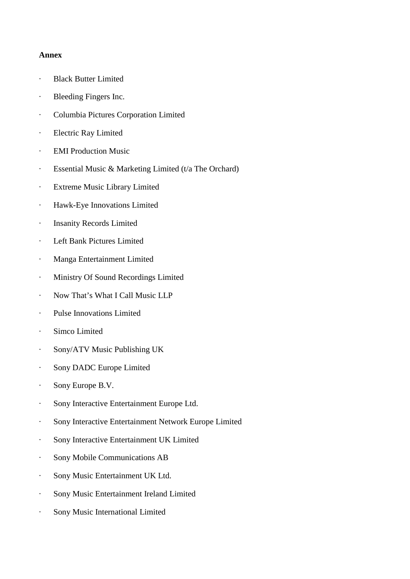#### **Annex**

- · Black Butter Limited
- · Bleeding Fingers Inc.
- · Columbia Pictures Corporation Limited
- · Electric Ray Limited
- · EMI Production Music
- · Essential Music & Marketing Limited (t/a The Orchard)
- · Extreme Music Library Limited
- · Hawk-Eye Innovations Limited
- · Insanity Records Limited
- · Left Bank Pictures Limited
- · Manga Entertainment Limited
- · Ministry Of Sound Recordings Limited
- · Now That's What I Call Music LLP
- · Pulse Innovations Limited
- · Simco Limited
- · Sony/ATV Music Publishing UK
- · Sony DADC Europe Limited
- · Sony Europe B.V.
- · Sony Interactive Entertainment Europe Ltd.
- · Sony Interactive Entertainment Network Europe Limited
- · Sony Interactive Entertainment UK Limited
- · Sony Mobile Communications AB
- · Sony Music Entertainment UK Ltd.
- · Sony Music Entertainment Ireland Limited
- · Sony Music International Limited